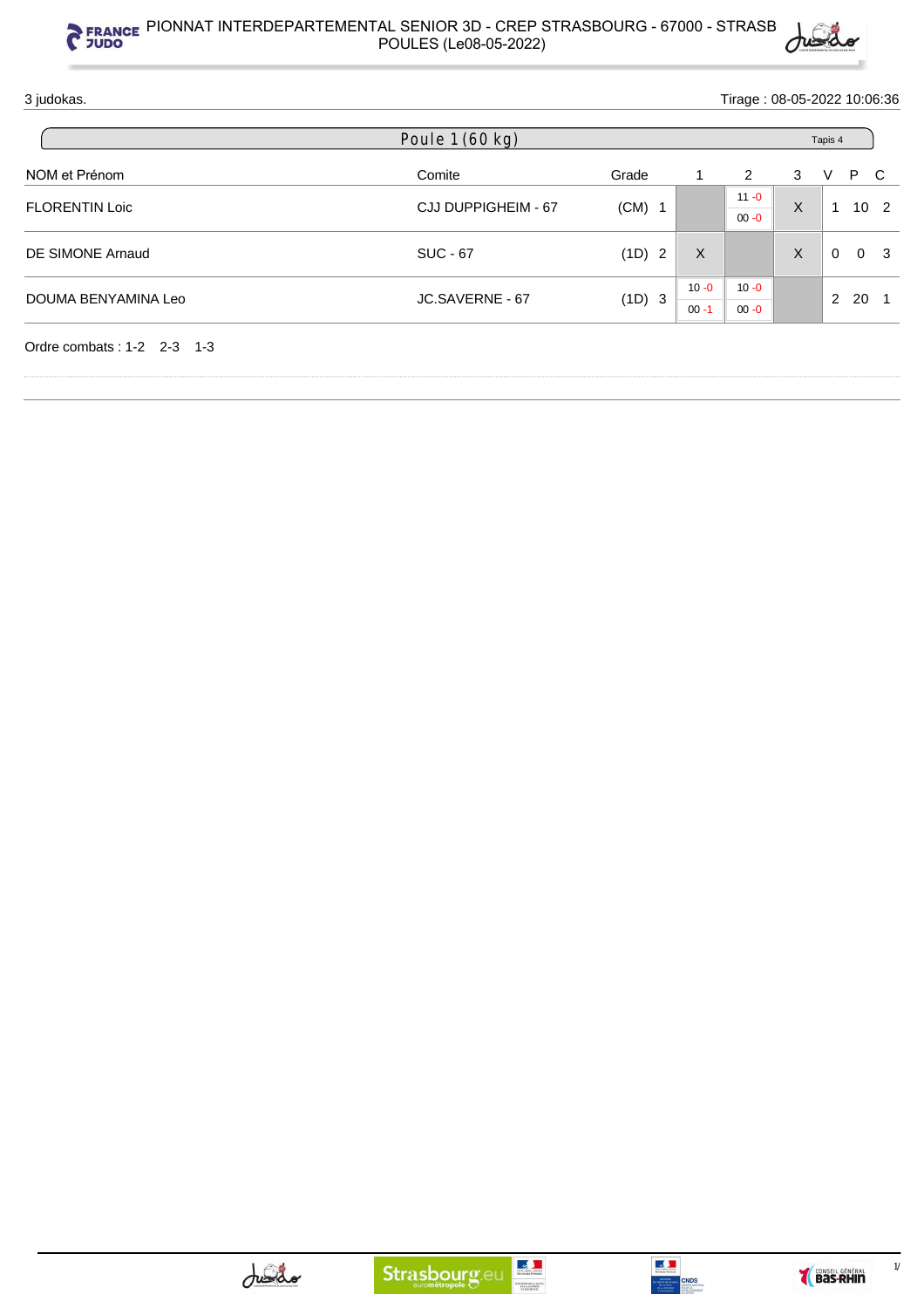

| Poule 1 (60 kg)     |        |          |                      |          |               |                                       |                            |
|---------------------|--------|----------|----------------------|----------|---------------|---------------------------------------|----------------------------|
| Comite              | Grade  |          | 2                    | 3        | V             | $\mathbf{C}$                          |                            |
| CJJ DUPPIGHEIM - 67 |        |          | $11 - 0$             |          |               |                                       |                            |
|                     |        |          | $00 - 0$             |          |               |                                       |                            |
| <b>SUC - 67</b>     | (1D) 2 | $\times$ |                      | $\sf X$  | $\Omega$      | 0 <sup>3</sup>                        |                            |
|                     |        |          |                      |          |               |                                       |                            |
| JC.SAVERNE - 67     | (1D) 3 |          |                      |          | $\mathcal{P}$ |                                       |                            |
|                     |        | $(CM)$ 1 | $10 - 0$<br>$00 - 1$ | $10 - 0$ | $\sf X$       | Tapis 4<br>$\overline{1}$<br>$00 - 0$ | P<br>10 <sub>2</sub><br>20 |



**SISTEM DE LA SANTÉ.<br>DE LA JELMISSE**<br>17 DES SPORTS

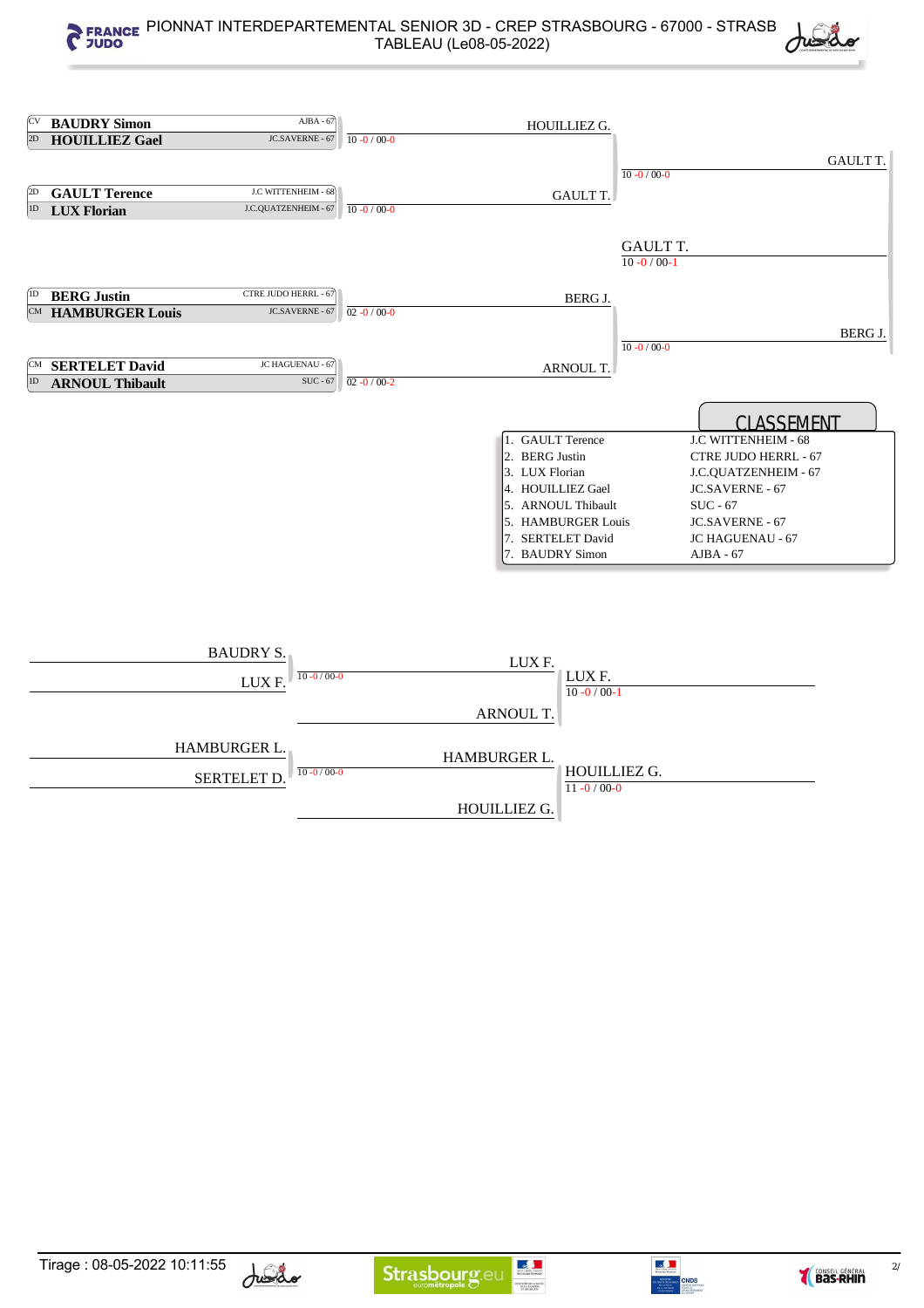|                     | <sup>CV</sup> BAUDRY Simon | $AJBA - 67$                          |                   | HOUILLIEZ G.       |                   |                      |
|---------------------|----------------------------|--------------------------------------|-------------------|--------------------|-------------------|----------------------|
| 2D                  | <b>HOUILLIEZ Gael</b>      | JC.SAVERNE - 67                      | $10 - 0 / 00 - 0$ |                    |                   |                      |
|                     |                            |                                      |                   |                    |                   | <b>GAULT T.</b>      |
|                     |                            |                                      |                   |                    | $10 - 0 / 00 - 0$ |                      |
| $\left( 2D \right)$ | <b>GAULT Terence</b>       | J.C WITTENHEIM - 68                  |                   | <b>GAULT T.</b>    |                   |                      |
| 1D                  | <b>LUX Florian</b>         | J.C.QUATZENHEIM - 67                 | $10 - 0 / 00 - 0$ |                    |                   |                      |
|                     |                            |                                      |                   |                    |                   |                      |
|                     |                            |                                      |                   |                    | <b>GAULT T.</b>   |                      |
|                     |                            |                                      |                   |                    | $10 - 0 / 00 - 1$ |                      |
|                     |                            |                                      |                   |                    |                   |                      |
| 1D                  | <b>BERG Justin</b>         | CTRE JUDO HERRL - 67                 |                   |                    |                   |                      |
|                     | <b>CM HAMBURGER Louis</b>  | JC.SAVERNE - 67                      | $02 - 0 / 00 - 0$ | BERG J.            |                   |                      |
|                     |                            |                                      |                   |                    |                   |                      |
|                     |                            |                                      |                   |                    |                   | <b>BERG J.</b>       |
|                     |                            |                                      |                   |                    | $10 - 0 / 00 - 0$ |                      |
|                     | <b>CM</b> SERTELET David   | JC HAGUENAU - 67                     |                   | ARNOUL T.          |                   |                      |
| 1D                  | <b>ARNOUL Thibault</b>     | SUC - 67                             | $02 - 0 / 00 - 2$ |                    |                   |                      |
|                     |                            |                                      |                   |                    |                   |                      |
|                     |                            |                                      |                   |                    |                   | <b>CLASSEMENT</b>    |
|                     |                            |                                      |                   | 1. GAULT Terence   |                   | J.C WITTENHEIM - 68  |
|                     |                            |                                      |                   | 2. BERG Justin     |                   | CTRE JUDO HERRL - 67 |
|                     |                            |                                      |                   | 3. LUX Florian     |                   | J.C.QUATZENHEIM - 67 |
|                     |                            |                                      |                   | 4. HOUILLIEZ Gael  |                   | JC.SAVERNE - 67      |
|                     |                            |                                      |                   | 5. ARNOUL Thibault |                   | SUC - 67             |
|                     |                            |                                      |                   | 5. HAMBURGER Louis |                   | JC.SAVERNE - 67      |
|                     |                            |                                      |                   | 7. SERTELET David  |                   | JC HAGUENAU - 67     |
|                     |                            |                                      |                   | 7. BAUDRY Simon    |                   | $AJBA - 67$          |
|                     |                            |                                      |                   |                    |                   |                      |
|                     |                            |                                      |                   |                    |                   |                      |
|                     |                            |                                      |                   |                    |                   |                      |
|                     |                            |                                      |                   |                    |                   |                      |
|                     |                            |                                      |                   |                    |                   |                      |
|                     |                            | <b>BAUDRY S.</b>                     |                   |                    |                   |                      |
|                     |                            |                                      |                   | LUX F.             |                   |                      |
|                     |                            | $10 - 0/00 - 0$<br>LUX F.            |                   | LUX F.             |                   |                      |
|                     |                            |                                      |                   | $10 - 0 / 00 - 1$  |                   |                      |
|                     |                            |                                      |                   | ARNOUL T.          |                   |                      |
|                     |                            |                                      |                   |                    |                   |                      |
|                     |                            | HAMBURGER L.                         |                   |                    |                   |                      |
|                     |                            |                                      |                   | HAMBURGER L.       |                   |                      |
|                     |                            | $10 - 0/00 - 0$<br><b>SERTELET D</b> |                   | HOUILLIEZ G.       |                   |                      |
|                     |                            |                                      |                   | $11 - 0 / 00 - 0$  |                   |                      |
|                     |                            |                                      |                   | HOUILLIEZ G.       |                   |                      |



MINISTERE DE LA SANTÉ.<br>DE LA JELNISSE<br>17 des Sports



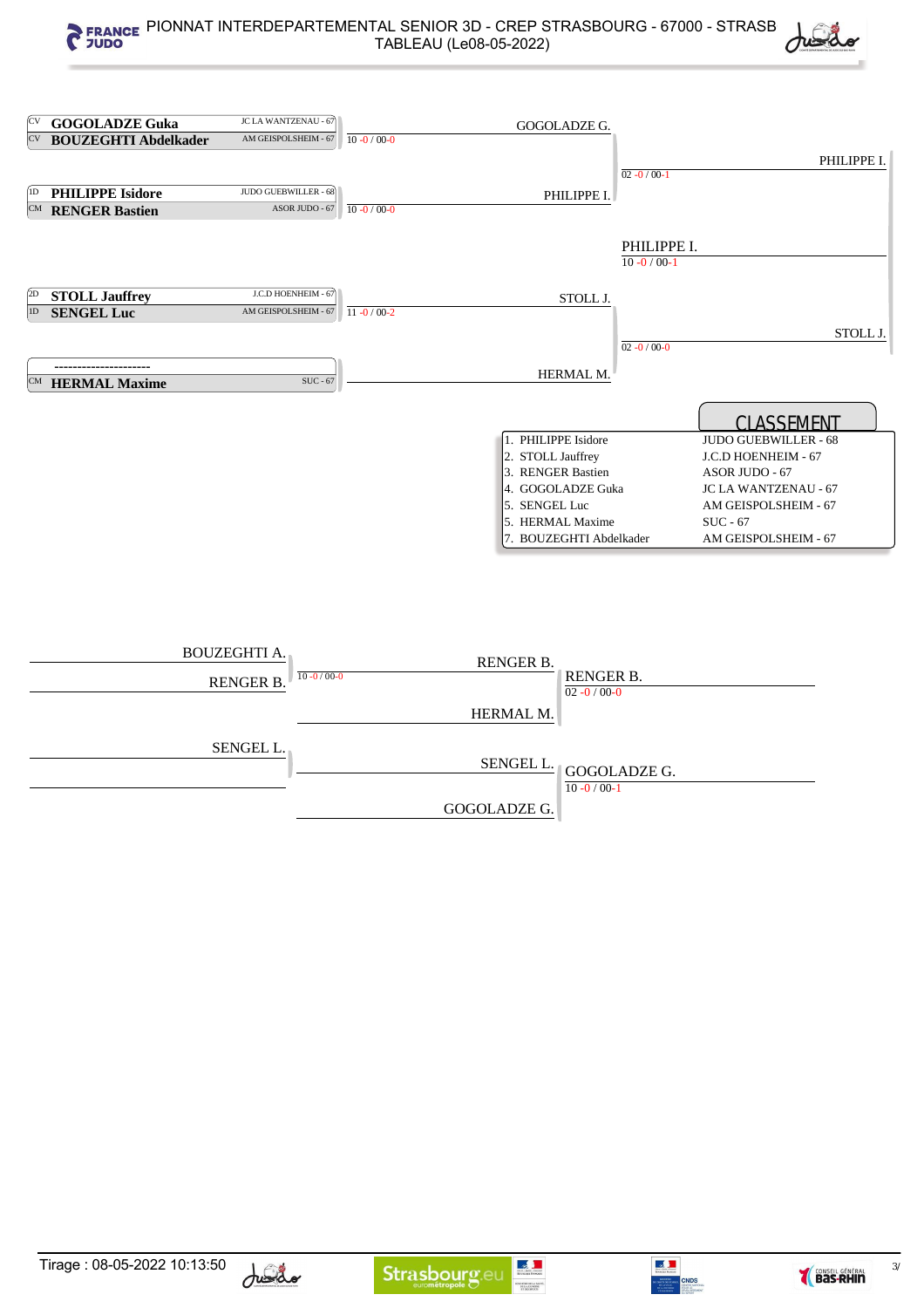| (CV           | <b>GOGOLADZE Guka</b>       | JC LA WANTZENAU - 67 |                   | GOGOLADZE G.            |                   |                             |  |
|---------------|-----------------------------|----------------------|-------------------|-------------------------|-------------------|-----------------------------|--|
| $\mathrm{CV}$ | <b>BOUZEGHTI Abdelkader</b> | AM GEISPOLSHEIM - 67 | $10 - 0 / 00 - 0$ |                         |                   |                             |  |
|               |                             |                      |                   |                         |                   | PHILIPPE I.                 |  |
|               |                             |                      |                   |                         | $02 - 0/00 - 1$   |                             |  |
| (1D)          | <b>PHILIPPE Isidore</b>     | JUDO GUEBWILLER - 68 |                   | PHILIPPE I.             |                   |                             |  |
|               | <b>CM</b> RENGER Bastien    | ASOR JUDO - 67       | $10 - 0 / 00 - 0$ |                         |                   |                             |  |
|               |                             |                      |                   |                         |                   |                             |  |
|               |                             |                      |                   |                         | PHILIPPE I.       |                             |  |
|               |                             |                      |                   |                         | $10 - 0 / 00 - 1$ |                             |  |
|               |                             |                      |                   |                         |                   |                             |  |
| (2D)          | <b>STOLL Jauffrey</b>       | J.C.D HOENHEIM - 67  |                   | STOLL J.                |                   |                             |  |
| 1D            | <b>SENGEL Luc</b>           | AM GEISPOLSHEIM - 67 | $11 - 0/00-2$     |                         |                   |                             |  |
|               |                             |                      |                   |                         |                   |                             |  |
|               |                             |                      |                   |                         | $02 - 0/00 - 0$   | STOLL J.                    |  |
|               |                             |                      |                   |                         |                   |                             |  |
|               |                             | SUC - 67             |                   | HERMAL M.               |                   |                             |  |
|               | <b>CM</b> HERMAL Maxime     |                      |                   |                         |                   |                             |  |
|               |                             |                      |                   |                         |                   |                             |  |
|               |                             |                      |                   |                         |                   | <b>CLASSEMENT</b>           |  |
|               |                             |                      |                   | 1. PHILIPPE Isidore     |                   | <b>JUDO GUEBWILLER - 68</b> |  |
|               |                             |                      |                   | 2. STOLL Jauffrey       |                   | J.C.D HOENHEIM - 67         |  |
|               |                             |                      |                   | 3. RENGER Bastien       |                   | ASOR JUDO - 67              |  |
|               |                             |                      |                   | 4. GOGOLADZE Guka       |                   | <b>JC LA WANTZENAU - 67</b> |  |
|               |                             |                      |                   | 5. SENGEL Luc           |                   | AM GEISPOLSHEIM - 67        |  |
|               |                             |                      |                   | 5. HERMAL Maxime        |                   | $SUC - 67$                  |  |
|               |                             |                      |                   | 7. BOUZEGHTI Abdelkader |                   | AM GEISPOLSHEIM - 67        |  |
|               |                             |                      |                   |                         |                   |                             |  |
|               |                             |                      |                   |                         |                   |                             |  |
|               |                             |                      |                   |                         |                   |                             |  |
|               |                             |                      |                   |                         |                   |                             |  |
|               |                             |                      |                   |                         |                   |                             |  |
|               |                             |                      |                   |                         |                   |                             |  |

| <b>BOUZEGHTI A.</b><br>RENGER B. | <b>RENGER B.</b><br>$10 - 0/00 - 0$ | RENGER B.<br>$02 - 0 / 00 - 0$                                                                  |
|----------------------------------|-------------------------------------|-------------------------------------------------------------------------------------------------|
|                                  | HERMAL M.                           |                                                                                                 |
| SENGEL L.                        |                                     | $\underbrace{\text{SENGEL L.}}_{\text{I GOGO}\underline{\text{LADZE G.}}}$<br>$10 - 0 / 00 - 1$ |
|                                  | <b>GOGOLADZE G.</b>                 |                                                                                                 |





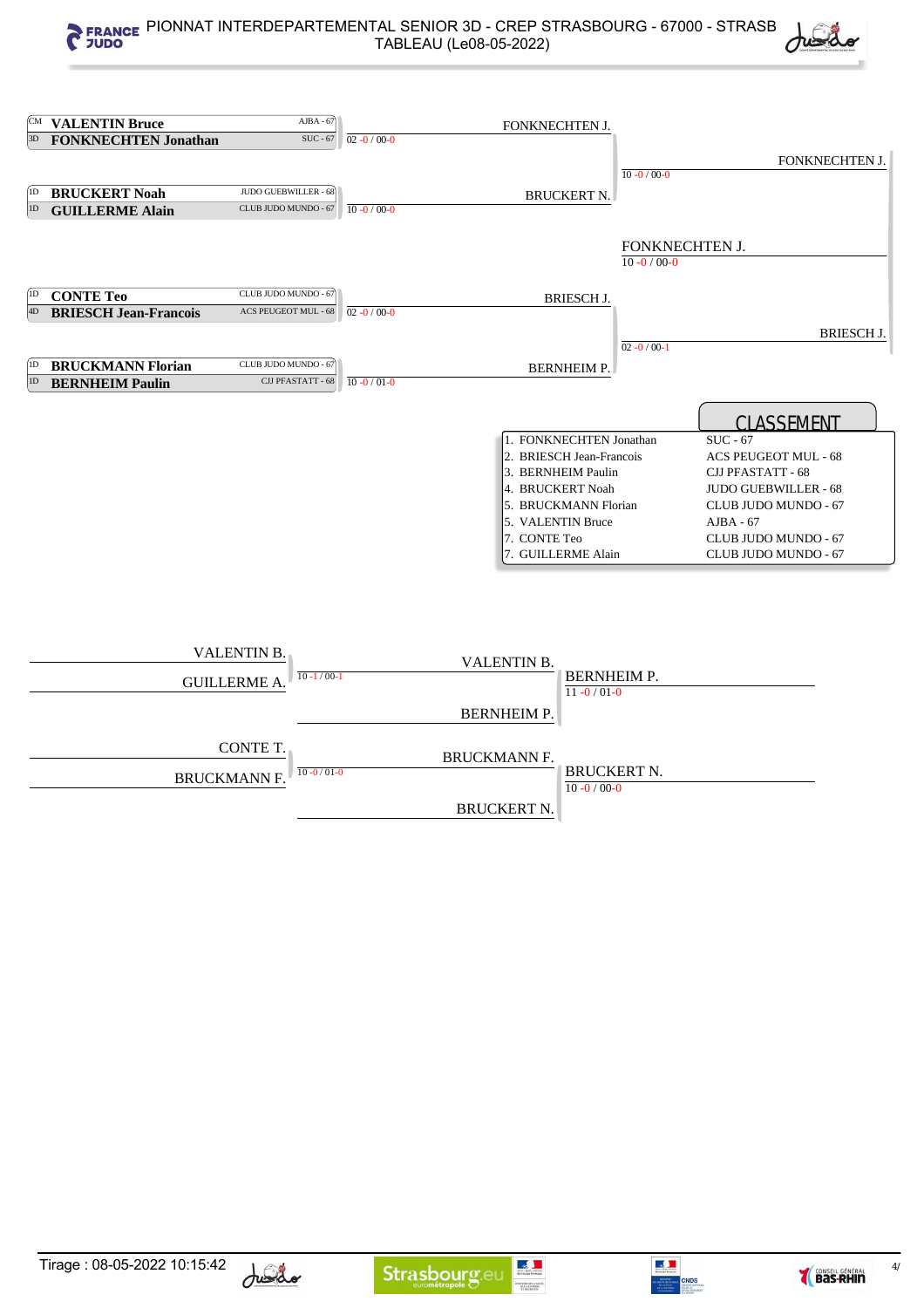|      |                                                         | $AJBA - 67$                                                              |                   |                                                                                                                                                                                  |                                   |                                                                                                                                                                                                    |
|------|---------------------------------------------------------|--------------------------------------------------------------------------|-------------------|----------------------------------------------------------------------------------------------------------------------------------------------------------------------------------|-----------------------------------|----------------------------------------------------------------------------------------------------------------------------------------------------------------------------------------------------|
| 3D   | <b>CM VALENTIN Bruce</b><br><b>FONKNECHTEN Jonathan</b> | $SUC - 67$                                                               | $02 - 0 / 00 - 0$ | FONKNECHTEN J.                                                                                                                                                                   |                                   |                                                                                                                                                                                                    |
|      |                                                         |                                                                          |                   |                                                                                                                                                                                  |                                   |                                                                                                                                                                                                    |
|      |                                                         |                                                                          |                   |                                                                                                                                                                                  | $10 - 0 / 00 - 0$                 | FONKNECHTEN J.                                                                                                                                                                                     |
| (1D) | <b>BRUCKERT Noah</b>                                    | JUDO GUEBWILLER - 68                                                     |                   |                                                                                                                                                                                  |                                   |                                                                                                                                                                                                    |
| 1D   | <b>GUILLERME Alain</b>                                  | CLUB JUDO MUNDO - 67                                                     | $10 - 0 / 00 - 0$ | <b>BRUCKERT N.</b>                                                                                                                                                               |                                   |                                                                                                                                                                                                    |
|      |                                                         |                                                                          |                   |                                                                                                                                                                                  |                                   |                                                                                                                                                                                                    |
|      |                                                         |                                                                          |                   |                                                                                                                                                                                  | FONKNECHTEN J.<br>$10 - 0/00 - 0$ |                                                                                                                                                                                                    |
| (1D) | <b>CONTE Teo</b>                                        | CLUB JUDO MUNDO - 67                                                     |                   | <b>BRIESCH J.</b>                                                                                                                                                                |                                   |                                                                                                                                                                                                    |
| 4D   | <b>BRIESCH Jean-Francois</b>                            | <b>ACS PEUGEOT MUL - 68</b>                                              | $02 - 0 / 00 - 0$ |                                                                                                                                                                                  |                                   |                                                                                                                                                                                                    |
|      |                                                         |                                                                          |                   |                                                                                                                                                                                  |                                   | <b>BRIESCH J.</b>                                                                                                                                                                                  |
|      |                                                         |                                                                          |                   |                                                                                                                                                                                  | $02 - 0 / 00 - 1$                 |                                                                                                                                                                                                    |
| 1D   | <b>BRUCKMANN Florian</b>                                | CLUB JUDO MUNDO - 67                                                     |                   | <b>BERNHEIM P.</b>                                                                                                                                                               |                                   |                                                                                                                                                                                                    |
| 1D   | <b>BERNHEIM Paulin</b>                                  | CJJ PFASTATT - 68                                                        | $10 - 0 / 01 - 0$ |                                                                                                                                                                                  |                                   |                                                                                                                                                                                                    |
|      |                                                         |                                                                          |                   | 1. FONKNECHTEN Jonathan<br>2. BRIESCH Jean-Francois<br>3. BERNHEIM Paulin<br>4. BRUCKERT Noah<br>5. BRUCKMANN Florian<br>5. VALENTIN Bruce<br>7. CONTE Teo<br>7. GUILLERME Alain |                                   | <b>CLASSEMENT</b><br>$SUC - 67$<br>ACS PEUGEOT MUL - 68<br>CJJ PFASTATT - 68<br><b>JUDO GUEBWILLER - 68</b><br>CLUB JUDO MUNDO - 67<br>$AJBA - 67$<br>CLUB JUDO MUNDO - 67<br>CLUB JUDO MUNDO - 67 |
|      |                                                         | <b>VALENTIN B.</b><br>$10 - 1/00 - 1$<br><b>GUILLERME A.</b><br>CONTE T. |                   | VALENTIN B.<br><b>BERNHEIM P.</b><br>$11 - 0/01 - 0$<br><b>BERNHEIM P.</b>                                                                                                       |                                   |                                                                                                                                                                                                    |
|      |                                                         |                                                                          |                   | <b>BRUCKMANN F.</b>                                                                                                                                                              |                                   |                                                                                                                                                                                                    |

10 -0 / 01 -0 BRUCKERT N. BRUCKMANN F.

BRUCKERT N.

 $10 - 0 / 00 - 0$ 



**ENSTRUMER ASSETS** 



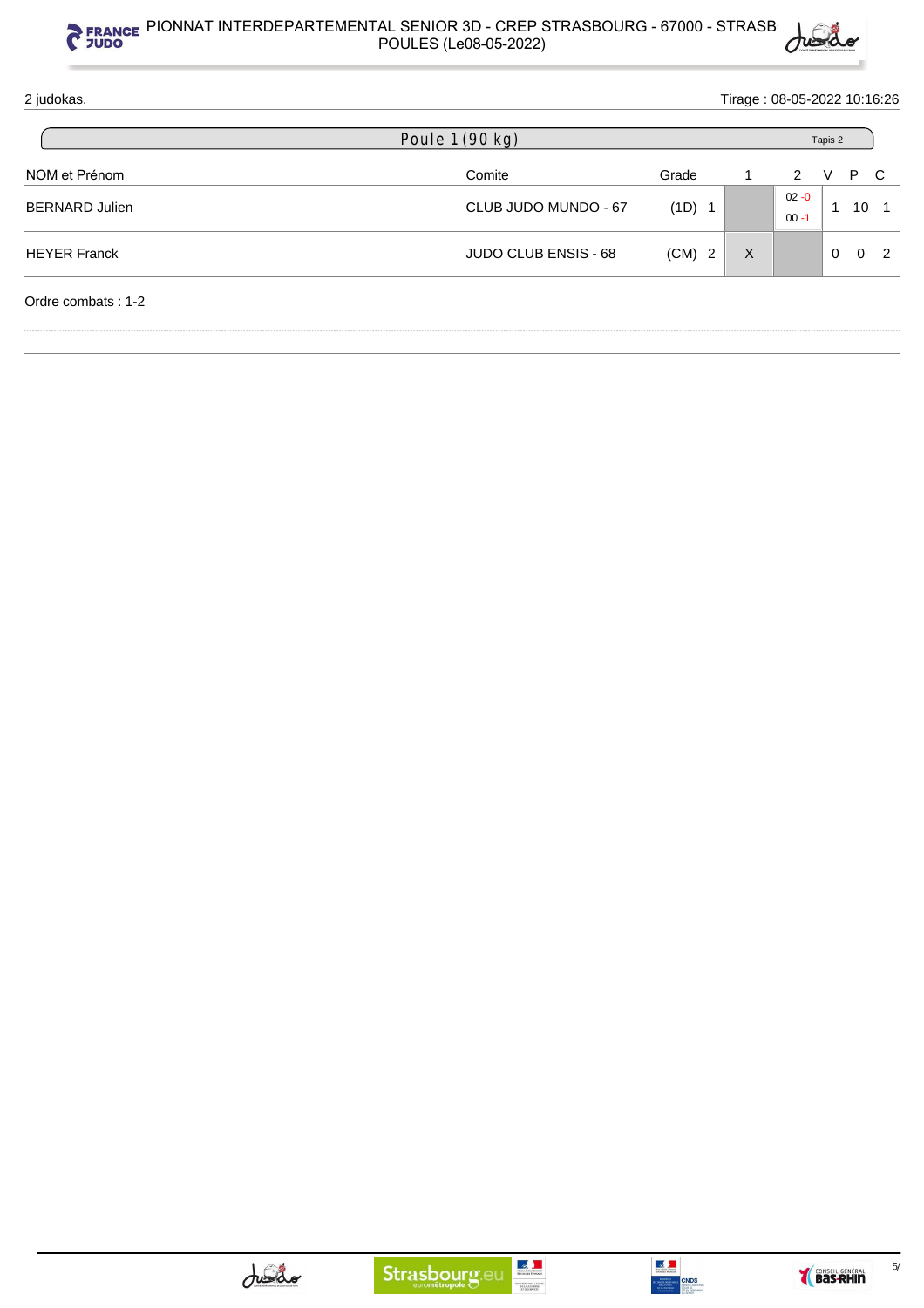

| 2 judokas.            |                      |          |   |                      | Tirage: 08-05-2022 10:16:26 |          |                |  |  |  |  |  |
|-----------------------|----------------------|----------|---|----------------------|-----------------------------|----------|----------------|--|--|--|--|--|
|                       | Poule 1 (90 kg)      |          |   | Tapis 2              |                             |          |                |  |  |  |  |  |
| NOM et Prénom         | Comite               | Grade    |   | 2                    | P<br>V                      | C        |                |  |  |  |  |  |
| <b>BERNARD Julien</b> | CLUB JUDO MUNDO - 67 | (1D) 1   |   | $02 - 0$<br>$00 - 1$ | 1                           | 10       |                |  |  |  |  |  |
| <b>HEYER Franck</b>   | JUDO CLUB ENSIS - 68 | $(CM)$ 2 | X |                      | $\Omega$                    | $\Omega$ | $\overline{2}$ |  |  |  |  |  |
| Ordre combats: 1-2    |                      |          |   |                      |                             |          |                |  |  |  |  |  |



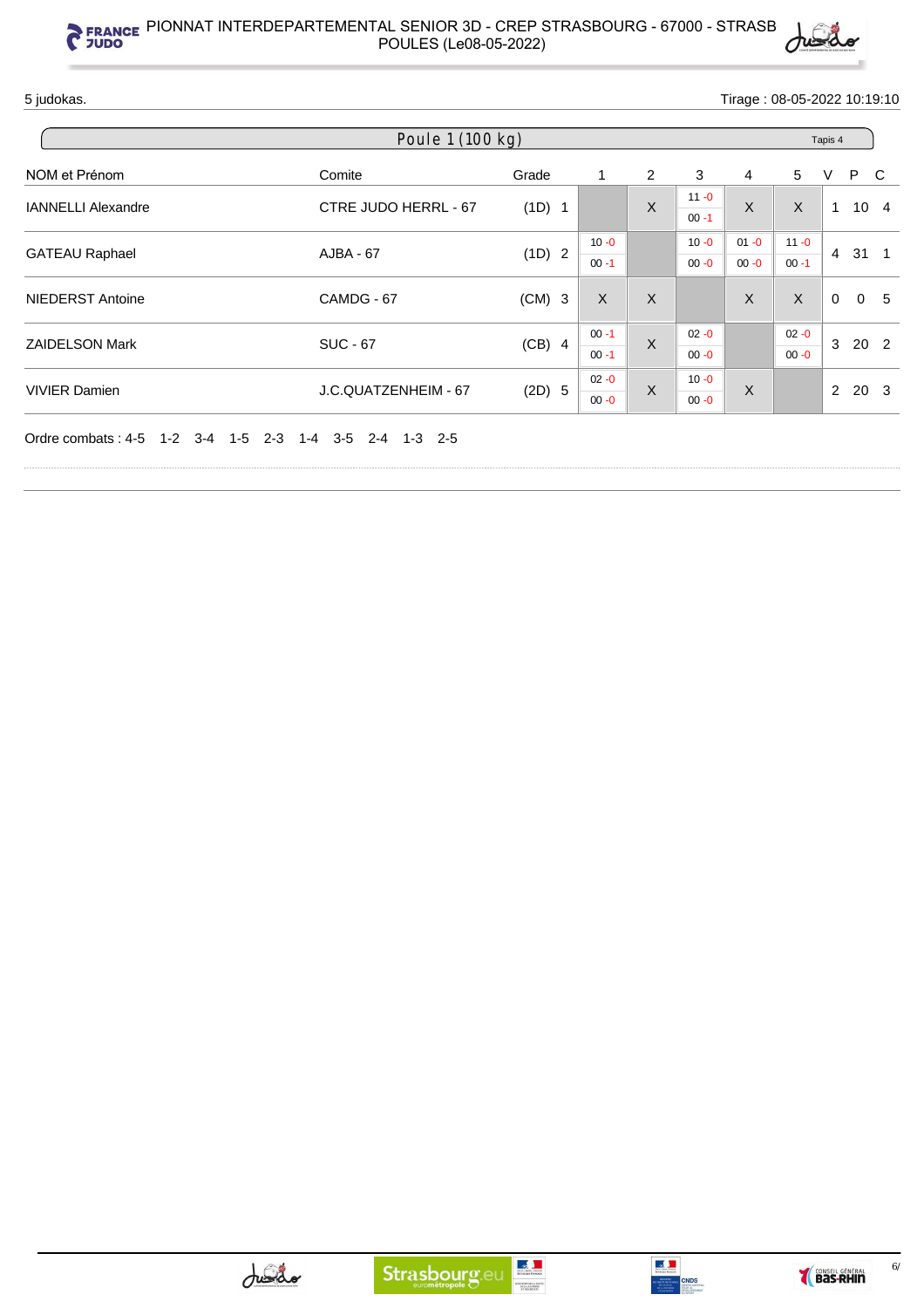

5 judokas. Tirage : 08-05-2022 10:19:10

| Poule 1 (100 kg)          |                      |          |          |         |                      |          |          | Tapis 4     |     |                 |  |
|---------------------------|----------------------|----------|----------|---------|----------------------|----------|----------|-------------|-----|-----------------|--|
| NOM et Prénom             | Comite               | Grade    | 1        | 2       | 3                    | 4        | 5        | V           | P C |                 |  |
| <b>IANNELLI Alexandre</b> | CTRE JUDO HERRL - 67 | (1D) 1   |          | X       | $11 - 0$<br>$00 - 1$ | X        | X        | 1           |     | 10 <sub>4</sub> |  |
| <b>GATEAU Raphael</b>     | AJBA - 67            | (1D) 2   | $10 - 0$ |         | $10 - 0$             | $01 - 0$ | $11 - 0$ | 4           |     | $31 \quad 1$    |  |
|                           |                      |          | $00 - 1$ |         | $00 - 0$             | $00 - 0$ | $00 - 1$ |             |     |                 |  |
| <b>NIEDERST Antoine</b>   | CAMDG - 67           | $(CM)$ 3 | $\sf X$  | $\sf X$ |                      | X        | X        | $\mathbf 0$ |     | 0 <sub>5</sub>  |  |
| <b>ZAIDELSON Mark</b>     | <b>SUC - 67</b>      | $(CB)$ 4 | $00 - 1$ | $\sf X$ | $02 - 0$             |          | $02 - 0$ | 3           |     |                 |  |
|                           |                      |          | $00 - 1$ |         | $00 - 0$             |          | $00 - 0$ |             |     | 20 2            |  |
| <b>VIVIER Damien</b>      | J.C.QUATZENHEIM - 67 | (2D) 5   | $02 - 0$ | $\sf X$ | $10 - 0$             | X        |          | 2           |     | 20 <sub>3</sub> |  |
|                           |                      |          | $00 - 0$ |         | $00 - 0$             |          |          |             |     |                 |  |